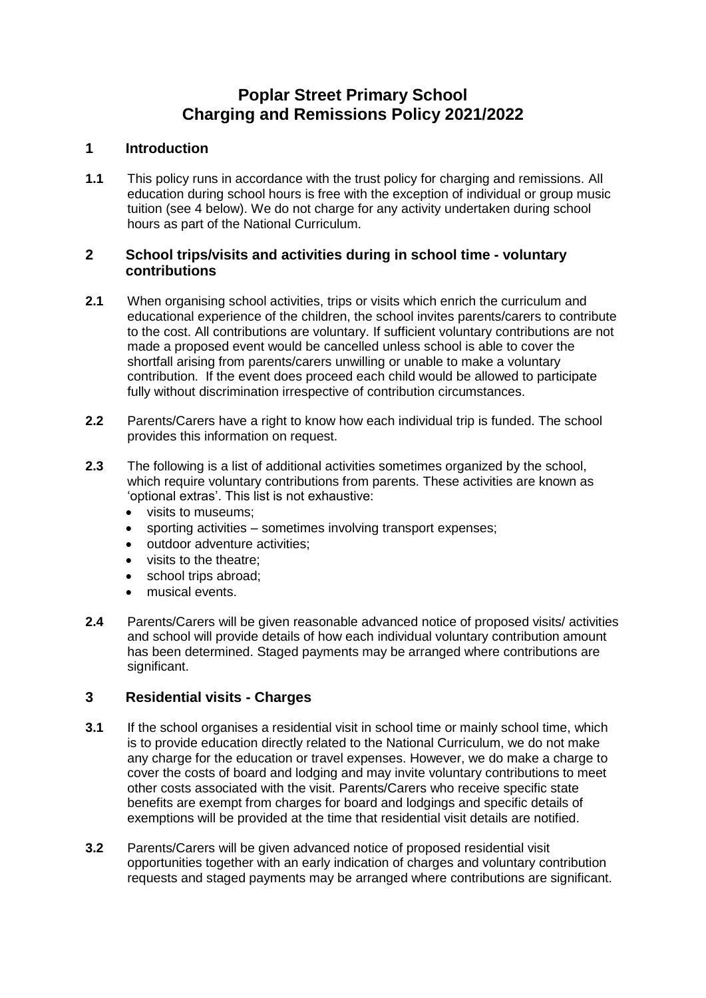# **Poplar Street Primary School Charging and Remissions Policy 2021/2022**

### **1 Introduction**

**1.1** This policy runs in accordance with the trust policy for charging and remissions. All education during school hours is free with the exception of individual or group music tuition (see 4 below). We do not charge for any activity undertaken during school hours as part of the National Curriculum.

#### **2 School trips/visits and activities during in school time - voluntary contributions**

- **2.1** When organising school activities, trips or visits which enrich the curriculum and educational experience of the children, the school invites parents/carers to contribute to the cost. All contributions are voluntary. If sufficient voluntary contributions are not made a proposed event would be cancelled unless school is able to cover the shortfall arising from parents/carers unwilling or unable to make a voluntary contribution. If the event does proceed each child would be allowed to participate fully without discrimination irrespective of contribution circumstances.
- **2.2** Parents/Carers have a right to know how each individual trip is funded. The school provides this information on request.
- **2.3** The following is a list of additional activities sometimes organized by the school, which require voluntary contributions from parents. These activities are known as 'optional extras'. This list is not exhaustive:
	- visits to museums:
	- sporting activities sometimes involving transport expenses;
	- outdoor adventure activities;
	- visits to the theatre:
	- school trips abroad;
	- musical events.
- **2.4** Parents/Carers will be given reasonable advanced notice of proposed visits/ activities and school will provide details of how each individual voluntary contribution amount has been determined. Staged payments may be arranged where contributions are significant.

### **3 Residential visits - Charges**

- **3.1** If the school organises a residential visit in school time or mainly school time, which is to provide education directly related to the National Curriculum, we do not make any charge for the education or travel expenses. However, we do make a charge to cover the costs of board and lodging and may invite voluntary contributions to meet other costs associated with the visit. Parents/Carers who receive specific state benefits are exempt from charges for board and lodgings and specific details of exemptions will be provided at the time that residential visit details are notified.
- **3.2** Parents/Carers will be given advanced notice of proposed residential visit opportunities together with an early indication of charges and voluntary contribution requests and staged payments may be arranged where contributions are significant.